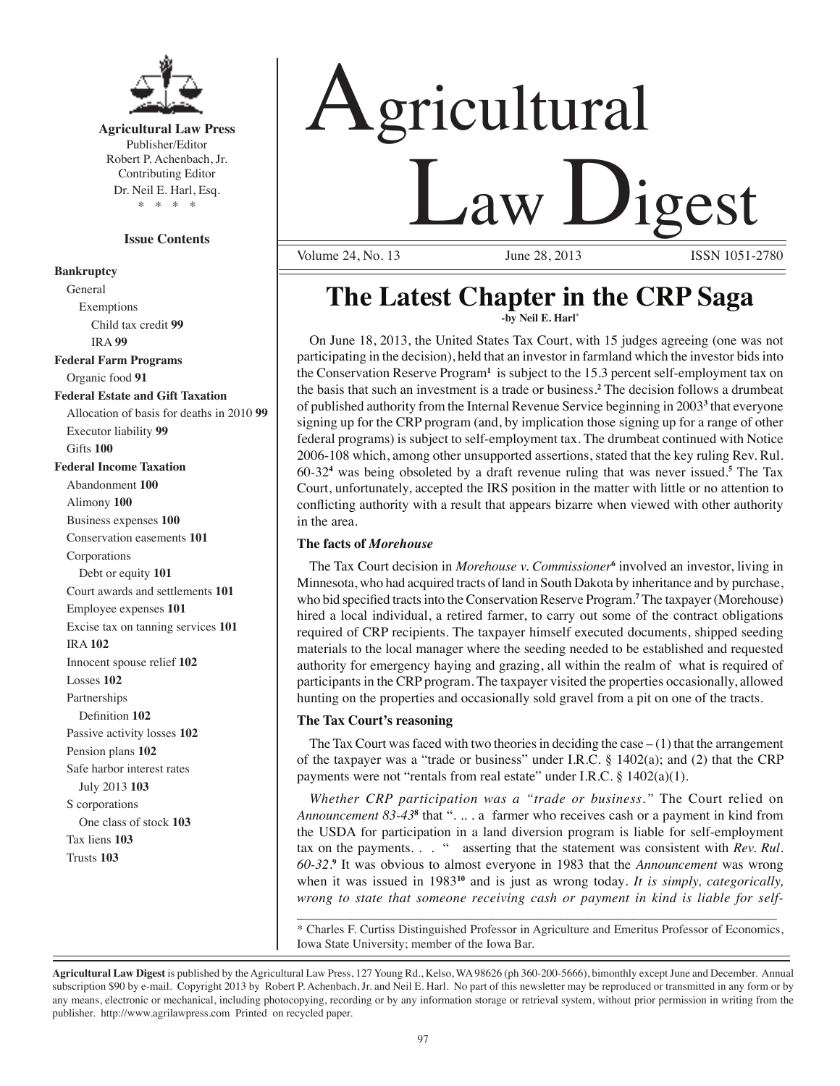

**Agricultural Law Press** Publisher/Editor Robert P. Achenbach, Jr. Contributing Editor Dr. Neil E. Harl, Esq. \* \* \* \*

# **Issue Contents**

#### **Bankruptcy**

General Exemptions Child tax credit **99** IRA **99 Federal Farm Programs** Organic food **91 Federal Estate and Gift Taxation** Allocation of basis for deaths in 2010 **99** Executor liability **99** Gifts **100 Federal Income Taxation** Abandonment **100** Alimony **100** Business expenses **100** Conservation easements **101** Corporations Debt or equity **101** Court awards and settlements **101** Employee expenses **101** Excise tax on tanning services **101** IRA **102** Innocent spouse relief **102** Losses **102** Partnerships Definition **102** Passive activity losses **102** Pension plans **102** Safe harbor interest rates July 2013 **103** S corporations One class of stock **103** Tax liens **103** Trusts **103**

# Agricultural **<u>Law Digest</u>**

Volume 24, No. 13

# **The Latest Chapter in the CRP Saga -by Neil E. Harl\***

On June 18, 2013, the United States Tax Court, with 15 judges agreeing (one was not participating in the decision), held that an investor in farmland which the investor bids into the Conservation Reserve Program**<sup>1</sup>** is subject to the 15.3 percent self-employment tax on the basis that such an investment is a trade or business.**<sup>2</sup>** The decision follows a drumbeat of published authority from the Internal Revenue Service beginning in 2003<sup>3</sup> that everyone signing up for the CRP program (and, by implication those signing up for a range of other federal programs) is subject to self-employment tax. The drumbeat continued with Notice 2006-108 which, among other unsupported assertions, stated that the key ruling Rev. Rul. 60-32**<sup>4</sup>** was being obsoleted by a draft revenue ruling that was never issued.**<sup>5</sup>** The Tax Court, unfortunately, accepted the IRS position in the matter with little or no attention to conflicting authority with a result that appears bizarre when viewed with other authority in the area.

## **The facts of** *Morehouse*

The Tax Court decision in *Morehouse v. Commissioner*<sup>6</sup> involved an investor, living in Minnesota, who had acquired tracts of land in South Dakota by inheritance and by purchase, who bid specified tracts into the Conservation Reserve Program.<sup>7</sup> The taxpayer (Morehouse) hired a local individual, a retired farmer, to carry out some of the contract obligations required of CRP recipients. The taxpayer himself executed documents, shipped seeding materials to the local manager where the seeding needed to be established and requested authority for emergency haying and grazing, all within the realm of what is required of participants in the CRP program. The taxpayer visited the properties occasionally, allowed hunting on the properties and occasionally sold gravel from a pit on one of the tracts.

#### **The Tax Court's reasoning**

The Tax Court was faced with two theories in deciding the case  $-(1)$  that the arrangement of the taxpayer was a "trade or business" under I.R.C.  $\S$  1402(a); and (2) that the CRP payments were not "rentals from real estate" under I.R.C. § 1402(a)(1).

*Whether CRP participation was a "trade or business."* The Court relied on Announcement 83-43<sup>8</sup> that ". .. . a farmer who receives cash or a payment in kind from the USDA for participation in a land diversion program is liable for self-employment tax on the payments. . . " asserting that the statement was consistent with *Rev. Rul. 60-32*. **9** It was obvious to almost everyone in 1983 that the *Announcement* was wrong when it was issued in 1983**<sup>10</sup>** and is just as wrong today*. It is simply, categorically, wrong to state that someone receiving cash or payment in kind is liable for self-*

\_\_\_\_\_\_\_\_\_\_\_\_\_\_\_\_\_\_\_\_\_\_\_\_\_\_\_\_\_\_\_\_\_\_\_\_\_\_\_\_\_\_\_\_\_\_\_\_\_\_\_\_\_\_\_\_\_\_\_\_\_\_\_\_\_\_\_\_\_\_ \* Charles F. Curtiss Distinguished Professor in Agriculture and Emeritus Professor of Economics, Iowa State University; member of the Iowa Bar.

**Agricultural Law Digest** is published by the Agricultural Law Press, 127 Young Rd., Kelso, WA 98626 (ph 360-200-5666), bimonthly except June and December. Annual subscription \$90 by e-mail. Copyright 2013 by Robert P. Achenbach, Jr. and Neil E. Harl. No part of this newsletter may be reproduced or transmitted in any form or by any means, electronic or mechanical, including photocopying, recording or by any information storage or retrieval system, without prior permission in writing from the publisher. http://www.agrilawpress.com Printed on recycled paper.